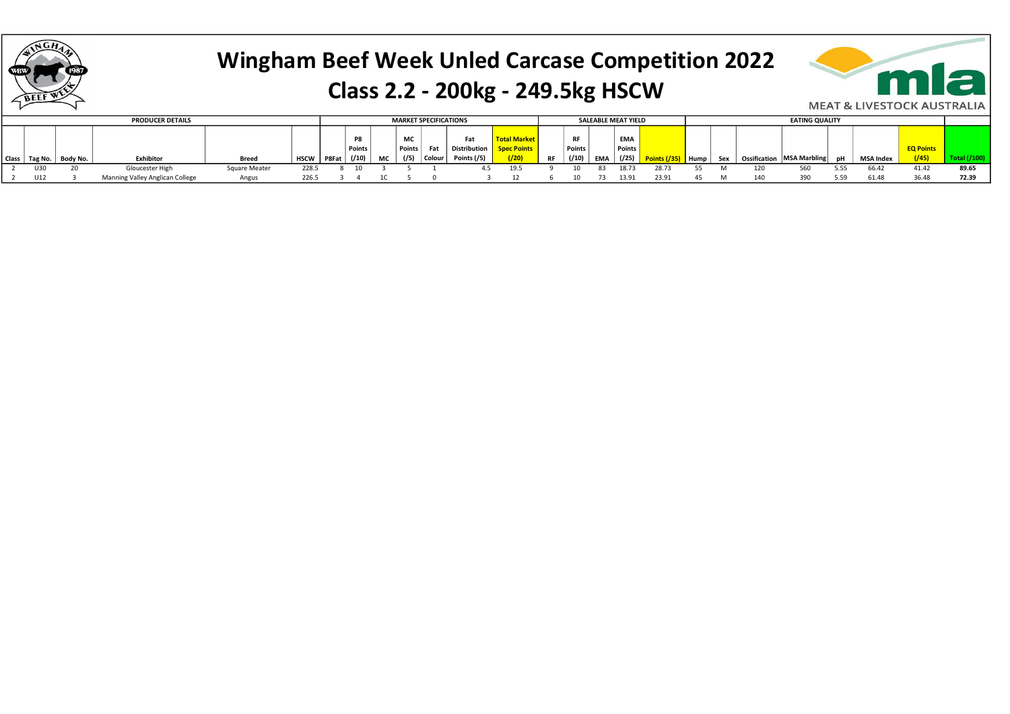

### Wingham Beef Week Unled Carcase Competition 2022 Class 2.2 - 200kg - 249.5kg HSCW



|       |         |          | <b>PRODUCER DETAILS</b>         |               |             |       |          | <b>MARKET SPECIFICATIONS</b> |        |        | <b>SALEABLE MEAT YIELD</b> |                     |           |               |     |            | <b>EATING QUALITY</b> |        |     |  |                             |      |           |                  |       |
|-------|---------|----------|---------------------------------|---------------|-------------|-------|----------|------------------------------|--------|--------|----------------------------|---------------------|-----------|---------------|-----|------------|-----------------------|--------|-----|--|-----------------------------|------|-----------|------------------|-------|
|       |         |          |                                 |               |             |       |          |                              |        |        |                            |                     |           |               |     |            |                       |        |     |  |                             |      |           |                  |       |
|       |         |          |                                 |               |             |       |          |                              | MC     |        | Fat                        | <b>Total Market</b> |           | <b>RI</b>     |     | <b>EMA</b> |                       |        |     |  |                             |      |           |                  |       |
|       |         |          |                                 |               |             |       | ' Points |                              | Points | Fat    | <b>Distribution</b>        | <b>Points</b>       |           | <b>Points</b> |     | Points,    |                       |        |     |  |                             |      |           | <b>EQ Points</b> |       |
| Class | Tag No. | Body No. | Exhibitor                       | <b>Breed</b>  | <b>HSCW</b> | P8Fat | (110)    | МC                           | (75)   | Colour | Points (/5)                | (120)               | <b>RF</b> |               | EMA | ( / 25)    |                       | " Hump | Sex |  | Ossification   MSA Marbling |      | MSA Index | (745)            |       |
|       | U30     |          | Gloucester High                 | Square Meater | 228.5       |       |          |                              |        |        |                            | 19.5                |           |               | 83  | 18.73      |                       |        |     |  | 560                         |      | 66.42     | 41.42            | 89.65 |
|       | U12     |          | Manning Valley Anglican College | Angus         |             |       |          |                              |        |        |                            |                     |           |               |     | 13.91      | 23.91                 |        |     |  |                             | 5.59 | 61.48     |                  | 72.39 |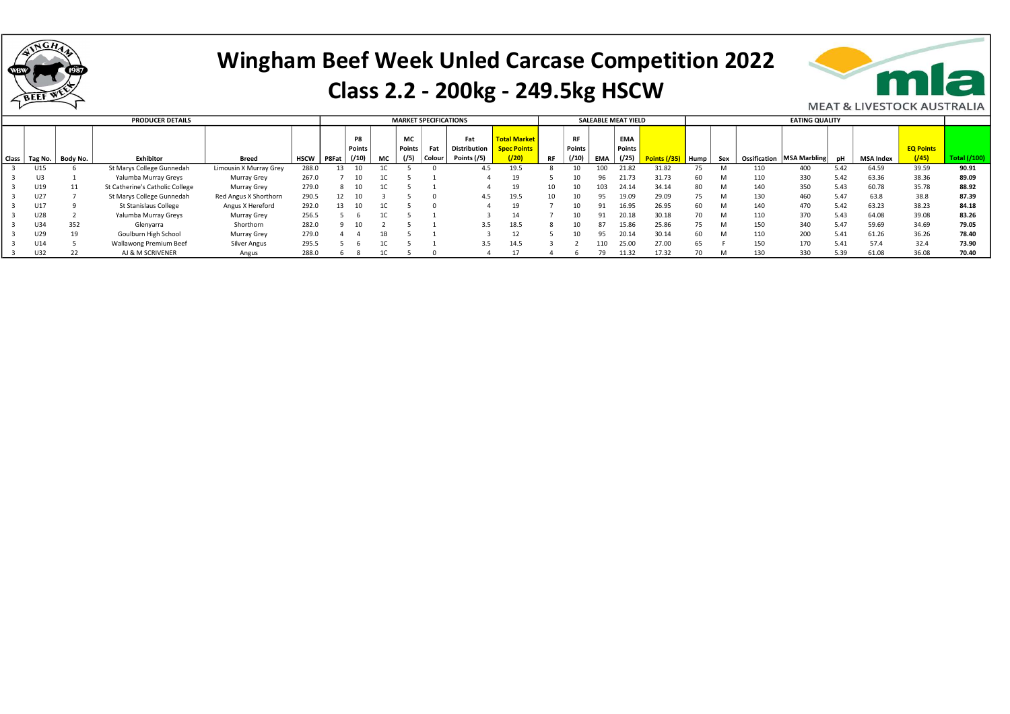

# Wingham Beef Week Unled Carcase Competition 2022

#### Class 2.2 - 200kg - 249.5kg HSCW



|                 |          | <b>PRODUCER DETAILS</b>         |                        |             |       | <b>MARKET SPECIFICATIONS</b> |    |              |        |                            |                                           |    | <b>SALEABLE MEAT YIELD</b> |     |                      |              |      |     |              |                     |      |           |                  |                     |
|-----------------|----------|---------------------------------|------------------------|-------------|-------|------------------------------|----|--------------|--------|----------------------------|-------------------------------------------|----|----------------------------|-----|----------------------|--------------|------|-----|--------------|---------------------|------|-----------|------------------|---------------------|
|                 |          |                                 |                        |             |       | P8<br>Points                 |    | МC<br>Points | Fat    | Fat<br><b>Distribution</b> | <b>Total Market</b><br><b>Spec Points</b> |    | <b>RF</b><br>Points        |     | <b>EMA</b><br>Points |              |      |     |              |                     |      |           | <b>EQ Points</b> |                     |
| Class   Tag No. | Body No. | Exhibitor                       | <b>Breed</b>           | <b>HSCW</b> | P8Fat | (/10)                        | МC | (75)         | Colour | Points (/5)                | (20)                                      | RF | (10)                       | EMA | ( / 25)              | Points (/35) | Hump | Sex | Ossification | <b>MSA Marbling</b> |      | MSA Index | $\sqrt{(45)}$    | <b>Total (/100)</b> |
| U15             |          | St Marys College Gunnedah       | Limousin X Murray Grey | 288.0       | 13    |                              |    |              |        | 4.5                        | 19.5                                      |    |                            | 100 | 21.82                | 31.82        |      |     |              | 400                 | 5.42 | 64.59     | 39.59            | 90.91               |
| U3              |          | Yalumba Murray Greys            | Murray Grey            | 267.0       |       |                              |    |              |        |                            |                                           |    |                            |     | 21.73                | 31.73        | 60   | M   | 110          | 330                 | 5.42 | 63.36     | 38.36            | 89.09               |
| U19             |          | St Catherine's Catholic College | Murray Grey            | 279.0       |       |                              |    |              |        |                            | 19                                        |    |                            | 103 | 24.14                | 34.14        |      | M   | 140          | 350                 | 5.43 | 60.78     | 35.78            | 88.92               |
| U27             |          | St Marys College Gunnedah       | Red Angus X Shorthorn  | 290.5       |       |                              |    |              |        | 4.5                        | 19.5                                      |    |                            |     | 19.09                | 29.09        | 75.  | M   | 130          | 460                 | 5.47 | 63.8      | 38.8             | 87.39               |
| U17             |          | St Stanislaus College           | Angus X Hereford       | 292.0       | 13    |                              |    |              |        |                            |                                           |    |                            |     | 16.95                | 26.95        | 60   | M   | 140          | 470                 | 5.42 | 63.23     | 38.23            | 84.18               |
| J28             |          | Yalumba Murray Greys            | Murray Grey            | 256.5       |       |                              |    |              |        |                            | 14                                        |    |                            | 01  | 20.18                | 30.18        |      | M   | 110          | 370                 | 5.43 | 64.08     | 39.08            | 83.26               |
| U34             | 352      | Glenyarra                       | Shorthorn              | 282.0       |       |                              |    |              |        | 3.5                        | 18.5                                      |    |                            | 87  | 15.86                | 25.86        | 75.  | M   | 150          | 340                 | 5.47 | 59.69     | 34.69            | 79.05               |
| J29             | 19       | Goulburn High School            | Murray Grey            | 279.0       |       |                              |    |              |        |                            |                                           |    |                            |     | 20.14                | 30.14        |      | M   | 110          | 200                 | 5.41 | 61.26     | 36.26            | 78.40               |
| U14             |          | Wallawong Premium Beef          | Silver Angus           | 295.5       |       |                              |    |              |        | 3.5                        | 14.5                                      |    |                            |     | 25.00                | 27.00        | 65   |     | 150          | 170                 | 5.41 | 57.4      | 32.4             | 73.90               |
| U32             | 22       | AJ & M SCRIVENER                | Angus                  | 288.0       |       |                              |    |              |        |                            |                                           |    |                            |     | 11.32                | 17.32        |      |     | 130          | 330                 | 5.39 | 61.08     | 36.08            | 70.40               |